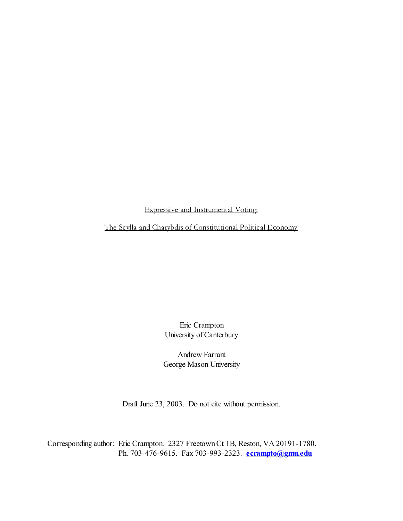Expressive and Instrumental Voting:

The Scylla and Charybdis of Constitutional Political Economy

Eric Crampton University of Canterbury

Andrew Farrant George Mason University

Draft June 23, 2003. Do not cite without permission.

Corresponding author: Eric Crampton. 2327 Freetown Ct 1B, Reston, VA 20191-1780. Ph. 703-476-9615. Fax 703-993-2323. **[ecrampto@gmu.edu](mailto:ecrampto@gmu.edu)**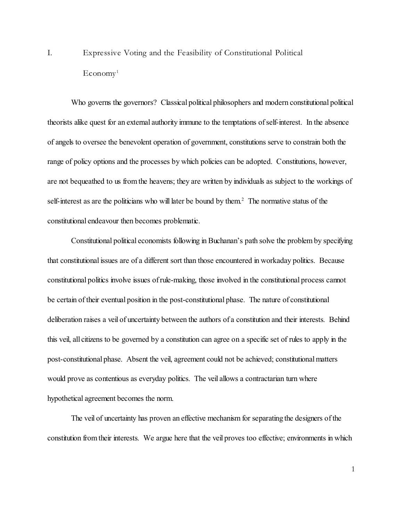I. Expressive Voting and the Feasibility of Constitutional Political  $E_{\rm{conomy}}$ <sup>1</sup>

Who governs the governors? Classical political philosophers and modern constitutional political theorists alike quest for an external authority immune to the temptations of self-interest. In the absence of angels to oversee the benevolent operation of government, constitutions serve to constrain both the range of policy options and the processes by which policies can be adopted. Constitutions, however, are not bequeathed to us from the heavens; they are written by individuals as subject to the workings of self-interest as are the politicians who will later be bound by them.<sup>2</sup> The normative status of the constitutional endeavour then becomes problematic.

Constitutional political economists following in Buchanan's path solve the problem by specifying that constitutional issues are of a different sort than those encountered in workaday politics. Because constitutional politics involve issues of rule-making, those involved in the constitutional process cannot be certain of their eventual position in the post-constitutional phase. The nature of constitutional deliberation raises a veil of uncertainty between the authors of a constitution and their interests. Behind this veil, all citizens to be governed by a constitution can agree on a specific set of rules to apply in the post-constitutional phase. Absent the veil, agreement could not be achieved; constitutional matters would prove as contentious as everyday politics. The veil allows a contractarian turn where hypothetical agreement becomes the norm.

The veil of uncertainty has proven an effective mechanism for separating the designers of the constitution from their interests. We argue here that the veil proves too effective; environments in which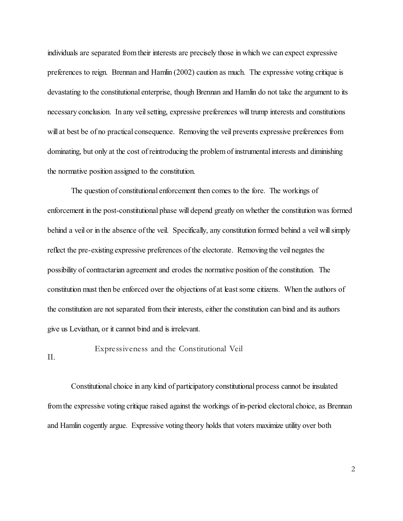individuals are separated from their interests are precisely those in which we can expect expressive preferences to reign. Brennan and Hamlin (2002) caution as much. The expressive voting critique is devastating to the constitutional enterprise, though Brennan and Hamlin do not take the argument to its necessary conclusion. In any veil setting, expressive preferences will trump interests and constitutions will at best be of no practical consequence. Removing the veil prevents expressive preferences from dominating, but only at the cost of reintroducing the problem of instrumental interests and diminishing the normative position assigned to the constitution.

The question of constitutional enforcement then comes to the fore. The workings of enforcement in the post-constitutional phase will depend greatly on whether the constitution was formed behind a veil or in the absence of the veil. Specifically, any constitution formed behind a veil will simply reflect the pre-existing expressive preferences of the electorate. Removing the veil negates the possibility of contractarian agreement and erodes the normative position of the constitution. The constitution must then be enforced over the objections of at least some citizens. When the authors of the constitution are not separated from their interests, either the constitution can bind and its authors give us Leviathan, or it cannot bind and is irrelevant.

II. Expressiveness and the Constitutional Veil

Constitutional choice in any kind of participatory constitutional process cannot be insulated from the expressive voting critique raised against the workings of in-period electoral choice, as Brennan and Hamlin cogently argue. Expressive voting theory holds that voters maximize utility over both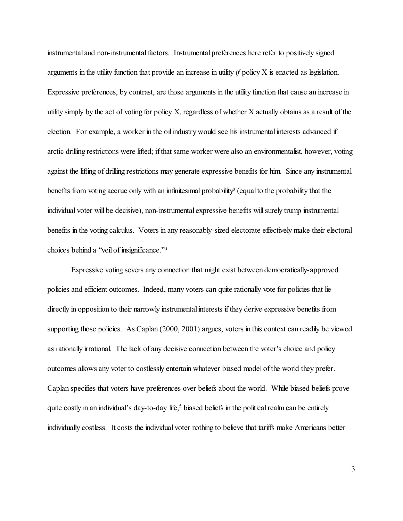instrumental and non-instrumental factors. Instrumental preferences here refer to positively signed arguments in the utility function that provide an increase in utility *if* policy X is enacted as legislation. Expressive preferences, by contrast, are those arguments in the utility function that cause an increase in utility simply by the act of voting for policy X, regardless of whether X actually obtains as a result of the election. For example, a worker in the oil industry would see his instrumental interests advanced if arctic drilling restrictions were lifted; if that same worker were also an environmentalist, however, voting against the lifting of drilling restrictions may generate expressive benefits for him. Since any instrumental benefits from voting accrue only with an infinitesimal probability<sup>3</sup> (equal to the probability that the individual voter will be decisive), non-instrumental expressive benefits will surely trump instrumental benefits in the voting calculus. Voters in any reasonably-sized electorate effectively make their electoral choices behind a "veil of insignificance." 4

Expressive voting severs any connection that might exist between democratically-approved policies and efficient outcomes. Indeed, many voters can quite rationally vote for policies that lie directly in opposition to their narrowly instrumental interests if they derive expressive benefits from supporting those policies. As Caplan (2000, 2001) argues, voters in this context can readily be viewed as rationally irrational. The lack of any decisive connection between the voter's choice and policy outcomes allows any voter to costlessly entertain whatever biased model of the world they prefer. Caplan specifies that voters have preferences over beliefs about the world. While biased beliefs prove quite costly in an individual's day-to-day life,<sup>5</sup> biased beliefs in the political realm can be entirely individually costless. It costs the individual voter nothing to believe that tariffs make Americans better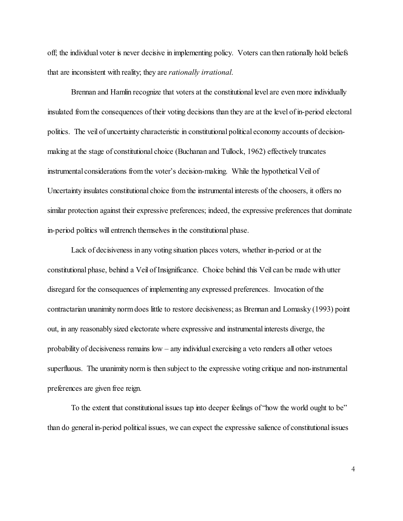off; the individual voter is never decisive in implementing policy. Voters can then rationally hold beliefs that are inconsistent with reality; they are *rationally irrational*.

Brennan and Hamlin recognize that voters at the constitutional level are even more individually insulated from the consequences of their voting decisions than they are at the level of in-period electoral politics. The veil of uncertainty characteristic in constitutional political economy accounts of decisionmaking at the stage of constitutional choice (Buchanan and Tullock, 1962) effectively truncates instrumental considerations from the voter's decision-making. While the hypothetical Veil of Uncertainty insulates constitutional choice from the instrumental interests of the choosers, it offers no similar protection against their expressive preferences; indeed, the expressive preferences that dominate in-period politics will entrench themselves in the constitutional phase.

Lack of decisiveness in any voting situation places voters, whether in-period or at the constitutional phase, behind a Veil of Insignificance. Choice behind this Veil can be made with utter disregard for the consequences of implementing any expressed preferences. Invocation of the contractarian unanimity norm does little to restore decisiveness; as Brennan and Lomasky (1993) point out, in any reasonably sized electorate where expressive and instrumental interests diverge, the probability of decisiveness remains  $low - any$  individual exercising a veto renders all other vetoes superfluous. The unanimity norm is then subject to the expressive voting critique and non-instrumental preferences are given free reign.

To the extent that constitutional issues tap into deeper feelings of "how the world ought to be" than do general in-period political issues, we can expect the expressive salience of constitutional issues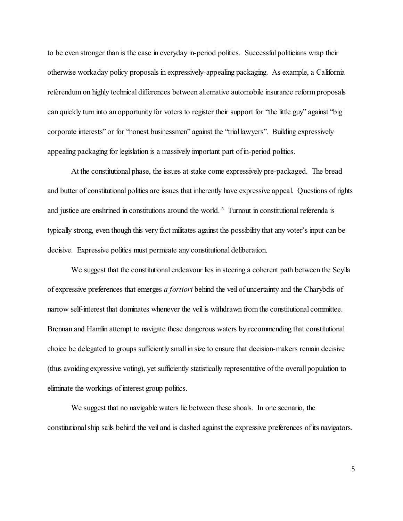to be even stronger than is the case in everyday in-period politics. Successful politicians wrap their otherwise workaday policy proposals in expressively-appealing packaging. As example, a California referendum on highly technical differences between alternative automobile insurance reform proposals can quickly turn into an opportunity for voters to register their support for "the little guy" against "big corporate interests" or for "honest businessmen" against the "trial lawyers". Building expressively appealing packaging for legislation is a massively important part of in-period politics.

At the constitutional phase, the issues at stake come expressively pre-packaged. The bread and butter of constitutional politics are issues that inherently have expressive appeal. Questions of rights and justice are enshrined in constitutions around the world. <sup>6</sup> Turnout in constitutional referenda is typically strong, even though this very fact militates against the possibility that any voter's input can be decisive. Expressive politics must permeate any constitutional deliberation.

We suggest that the constitutional endeavour lies in steering a coherent path between the Scylla of expressive preferences that emerges *a fortiori* behind the veil of uncertainty and the Charybdis of narrow self-interest that dominates whenever the veil is withdrawn from the constitutional committee. Brennan and Hamlin attempt to navigate these dangerous waters by recommending that constitutional choice be delegated to groups sufficiently small in size to ensure that decision-makers remain decisive (thus avoiding expressive voting), yet sufficiently statistically representative of the overall population to eliminate the workings of interest group politics.

We suggest that no navigable waters lie between these shoals. In one scenario, the constitutional ship sails behind the veil and is dashed against the expressive preferences of its navigators.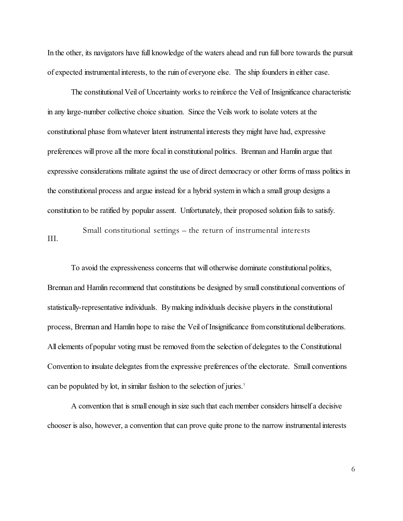In the other, its navigators have full knowledge of the waters ahead and run full bore towards the pursuit of expected instrumental interests, to the ruin of everyone else. The ship founders in either case.

The constitutional Veil of Uncertainty works to reinforce the Veil of Insignificance characteristic in any large-number collective choice situation. Since the Veils work to isolate voters at the constitutional phase from whatever latent instrumental interests they might have had, expressive preferences will prove all the more focal in constitutional politics. Brennan and Hamlin argue that expressive considerations militate against the use of direct democracy or other forms of mass politics in the constitutional process and argue instead for a hybrid system in which a small group designs a constitution to be ratified by popular assent. Unfortunately, their proposed solution fails to satisfy.

III. Small constitutional settings – the return of instrumental interests

To avoid the expressiveness concerns that will otherwise dominate constitutional politics, Brennan and Hamlin recommend that constitutions be designed by small constitutional conventions of statistically-representative individuals. By making individuals decisive players in the constitutional process, Brennan and Hamlin hope to raise the Veil of Insignificance from constitutional deliberations. All elements of popular voting must be removed from the selection of delegates to the Constitutional Convention to insulate delegates from the expressive preferences of the electorate. Small conventions can be populated by lot, in similar fashion to the selection of juries.<sup>7</sup>

A convention that is small enough in size such that each member considers himself a decisive chooser is also, however, a convention that can prove quite prone to the narrow instrumental interests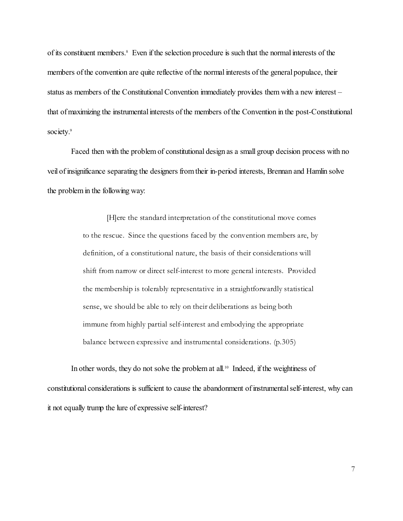of its constituent members.<sup>8</sup> Even if the selection procedure is such that the normal interests of the members of the convention are quite reflective of the normal interests of the general populace, their status as members of the Constitutional Convention immediately provides them with a new interest – that of maximizing the instrumental interests of the members of the Convention in the post-Constitutional society.<sup>9</sup>

Faced then with the problem of constitutional design as a small group decision process with no veil of insignificance separating the designers from their in-period interests, Brennan and Hamlin solve the problem in the following way:

> [H]ere the standard interpretation of the constitutional move comes to the rescue. Since the questions faced by the convention members are, by definition, of a constitutional nature, the basis of their considerations will shift from narrow or direct self-interest to more general interests. Provided the membership is tolerably representative in a straightforwardly statistical sense, we should be able to rely on their deliberations as being both immune from highly partial self-interest and embodying the appropriate balance between expressive and instrumental considerations. (p.305)

In other words, they do not solve the problem at all.<sup>10</sup> Indeed, if the weightiness of constitutional considerations is sufficient to cause the abandonment of instrumental self-interest, why can it not equally trump the lure of expressive self-interest?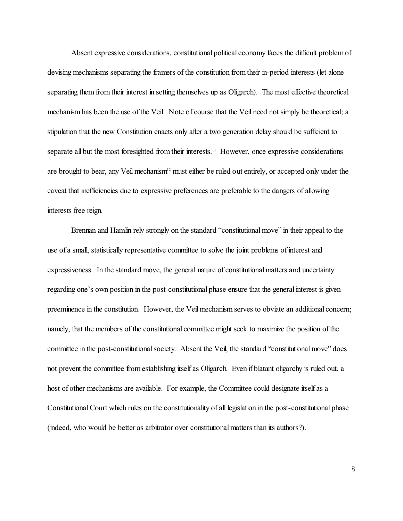Absent expressive considerations, constitutional political economy faces the difficult problem of devising mechanisms separating the framers of the constitution from their in-period interests (let alone separating them from their interest in setting themselves up as Oligarch). The most effective theoretical mechanism has been the use of the Veil. Note of course that the Veil need not simply be theoretical; a stipulation that the new Constitution enacts only after a two generation delay should be sufficient to separate all but the most foresighted from their interests.<sup>11</sup> However, once expressive considerations are brought to bear, any Veil mechanism<sup>12</sup> must either be ruled out entirely, or accepted only under the caveat that inefficiencies due to expressive preferences are preferable to the dangers of allowing interests free reign.

Brennan and Hamlin rely strongly on the standard "constitutional move" in their appeal to the use of a small, statistically representative committee to solve the joint problems of interest and expressiveness. In the standard move, the general nature of constitutional matters and uncertainty regarding one's own position in the post-constitutional phase ensure that the general interest is given preeminence in the constitution. However, the Veil mechanism serves to obviate an additional concern; namely, that the members of the constitutional committee might seek to maximize the position of the committee in the post-constitutional society. Absent the Veil, the standard "constitutional move" does not prevent the committee from establishing itself as Oligarch. Even if blatant oligarchy is ruled out, a host of other mechanisms are available. For example, the Committee could designate itself as a Constitutional Court which rules on the constitutionality of all legislation in the post-constitutional phase (indeed, who would be better as arbitrator over constitutional matters than its authors?).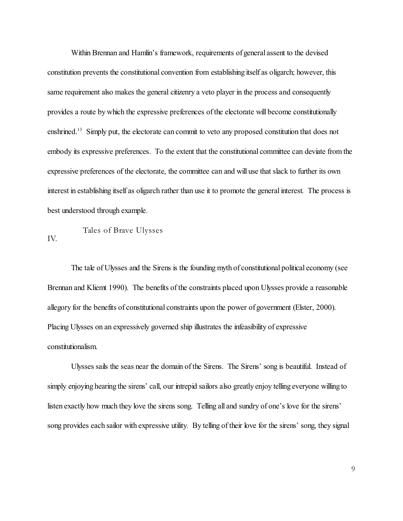Within Brennan and Hamlin's framework, requirements of general assent to the devised constitution prevents the constitutional convention from establishing itself as oligarch; however, this same requirement also makes the general citizenry a veto player in the process and consequently provides a route by which the expressive preferences of the electorate will become constitutionally enshrined.<sup>13</sup> Simply put, the electorate can commit to veto any proposed constitution that does not embody its expressive preferences. To the extent that the constitutional committee can deviate from the expressive preferences of the electorate, the committee can and will use that slack to further its own interest in establishing itself as oligarch rather than use it to promote the general interest. The process is best understood through example.

IV. Tales of Brave Ulysses

The tale of Ulysses and the Sirens is the founding myth of constitutional political economy (see Brennan and Kliemt 1990). The benefits of the constraints placed upon Ulysses provide a reasonable allegory for the benefits of constitutional constraints upon the power of government (Elster, 2000). Placing Ulysses on an expressively governed ship illustrates the infeasibility of expressive constitutionalism.

Ulysses sails the seas near the domain of the Sirens. The Sirens' song is beautiful. Instead of simply enjoying hearing the sirens' call, our intrepid sailors also greatly enjoy telling everyone willing to listen exactly how much they love the sirens song. Telling all and sundry of one's love for the sirens' song provides each sailor with expressive utility. By telling of their love for the sirens' song, they signal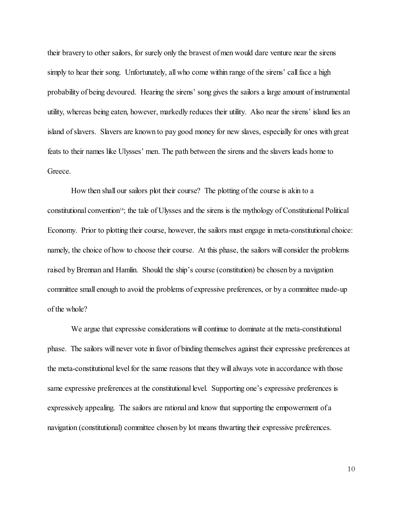their bravery to other sailors, for surely only the bravest of men would dare venture near the sirens simply to hear their song. Unfortunately, all who come within range of the sirens' call face a high probability of being devoured. Hearing the sirens' song gives the sailors a large amount of instrumental utility, whereas being eaten, however, markedly reduces their utility. Also near the sirens' island lies an island of slavers. Slavers are known to pay good money for new slaves, especially for ones with great feats to their names like Ulysses' men. The path between the sirens and the slavers leads home to Greece.

How then shall our sailors plot their course? The plotting of the course is akin to a constitutional convention<sup>14</sup>; the tale of Ulysses and the sirens is the mythology of Constitutional Political Economy. Prior to plotting their course, however, the sailors must engage in meta-constitutional choice: namely, the choice of how to choose their course. At this phase, the sailors will consider the problems raised by Brennan and Hamlin. Should the ship's course (constitution) be chosen by a navigation committee small enough to avoid the problems of expressive preferences, or by a committee made-up of the whole?

We argue that expressive considerations will continue to dominate at the meta-constitutional phase. The sailors will never vote in favor of binding themselves against their expressive preferences at the meta-constitutional level for the same reasons that they will always vote in accordance with those same expressive preferences at the constitutional level. Supporting one's expressive preferences is expressively appealing. The sailors are rational and know that supporting the empowerment of a navigation (constitutional) committee chosen by lot means thwarting their expressive preferences.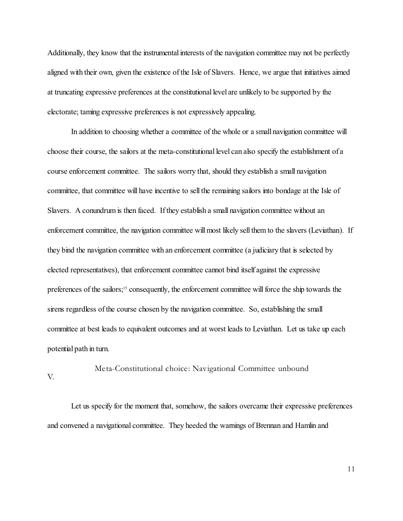Additionally, they know that the instrumental interests of the navigation committee may not be perfectly aligned with their own, given the existence of the Isle of Slavers. Hence, we argue that initiatives aimed at truncating expressive preferences at the constitutional level are unlikely to be supported by the electorate; taming expressive preferences is not expressively appealing.

In addition to choosing whether a committee of the whole or a small navigation committee will choose their course, the sailors at the meta-constitutional level can also specify the establishment of a course enforcement committee. The sailors worry that, should they establish a small navigation committee, that committee will have incentive to sell the remaining sailors into bondage at the Isle of Slavers. A conundrum is then faced. If they establish a small navigation committee without an enforcement committee, the navigation committee will most likely sell them to the slavers (Leviathan). If they bind the navigation committee with an enforcement committee (a judiciary that is selected by elected representatives), that enforcement committee cannot bind itself against the expressive preferences of the sailors;<sup>15</sup> consequently, the enforcement committee will force the ship towards the sirens regardless of the course chosen by the navigation committee. So, establishing the small committee at best leads to equivalent outcomes and at worst leads to Leviathan. Let us take up each potential path in turn.

V. Meta-Constitutional choice: Navigational Committee unbound

Let us specify for the moment that, somehow, the sailors overcame their expressive preferences and convened a navigational committee. They heeded the warnings of Brennan and Hamlin and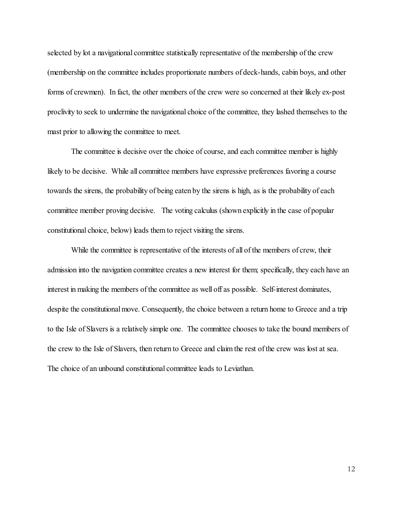selected by lot a navigational committee statistically representative of the membership of the crew (membership on the committee includes proportionate numbers of deck-hands, cabin boys, and other forms of crewmen). In fact, the other members of the crew were so concerned at their likely ex-post proclivity to seek to undermine the navigational choice of the committee, they lashed themselves to the mast prior to allowing the committee to meet.

The committee is decisive over the choice of course, and each committee member is highly likely to be decisive. While all committee members have expressive preferences favoring a course towards the sirens, the probability of being eaten by the sirens is high, as is the probability of each committee member proving decisive. The voting calculus (shown explicitly in the case of popular constitutional choice, below) leads them to reject visiting the sirens.

While the committee is representative of the interests of all of the members of crew, their admission into the navigation committee creates a new interest for them; specifically, they each have an interest in making the members of the committee as well off as possible. Self-interest dominates, despite the constitutional move. Consequently, the choice between a return home to Greece and a trip to the Isle of Slavers is a relatively simple one. The committee chooses to take the bound members of the crew to the Isle of Slavers, then return to Greece and claim the rest of the crew was lost at sea. The choice of an unbound constitutional committee leads to Leviathan.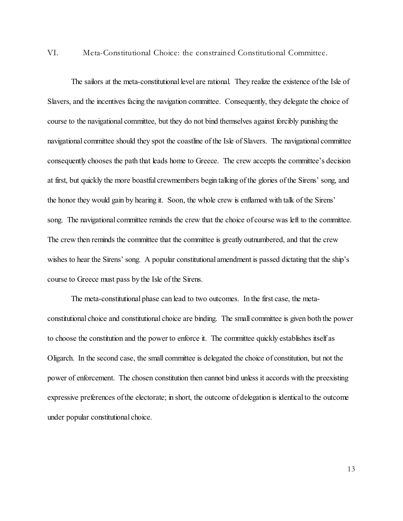VI. Meta-Constitutional Choice: the constrained Constitutional Committee.

The sailors at the meta-constitutional level are rational. They realize the existence of the Isle of Slavers, and the incentives facing the navigation committee. Consequently, they delegate the choice of course to the navigational committee, but they do not bind themselves against forcibly punishing the navigational committee should they spot the coastline of the Isle of Slavers. The navigational committee consequently chooses the path that leads home to Greece. The crew accepts the committee's decision at first, but quickly the more boastful crewmembers begin talking of the glories of the Sirens' song, and the honor they would gain by hearing it. Soon, the whole crew is enflamed with talk of the Sirens' song. The navigational committee reminds the crew that the choice of course was left to the committee. The crew then reminds the committee that the committee is greatly outnumbered, and that the crew wishes to hear the Sirens' song. A popular constitutional amendment is passed dictating that the ship's course to Greece must pass by the Isle of the Sirens.

The meta-constitutional phase can lead to two outcomes. In the first case, the metaconstitutional choice and constitutional choice are binding. The small committee is given both the power to choose the constitution and the power to enforce it. The committee quickly establishes itself as Oligarch. In the second case, the small committee is delegated the choice of constitution, but not the power of enforcement. The chosen constitution then cannot bind unless it accords with the preexisting expressive preferences of the electorate; in short, the outcome of delegation is identical to the outcome under popular constitutional choice.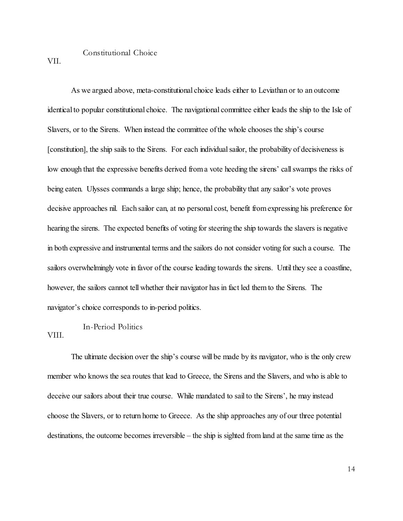## Constitutional Choice

VII.

As we argued above, meta-constitutional choice leads either to Leviathan or to an outcome identical to popular constitutional choice. The navigational committee either leads the ship to the Isle of Slavers, or to the Sirens. When instead the committee of the whole chooses the ship's course [constitution], the ship sails to the Sirens. For each individual sailor, the probability of decisiveness is low enough that the expressive benefits derived from a vote heeding the sirens' call swamps the risks of being eaten. Ulysses commands a large ship; hence, the probability that any sailor's vote proves decisive approaches nil. Each sailor can, at no personal cost, benefit from expressing his preference for hearing the sirens. The expected benefits of voting for steering the ship towards the slavers is negative in both expressive and instrumental terms and the sailors do not consider voting for such a course. The sailors overwhelmingly vote in favor of the course leading towards the sirens. Until they see a coastline, however, the sailors cannot tell whether their navigator has in fact led them to the Sirens. The navigator's choice corresponds to in-period politics.

## VIII. In-Period Politics

The ultimate decision over the ship's course will be made by its navigator, who is the only crew member who knows the sea routes that lead to Greece, the Sirens and the Slavers, and who is able to deceive our sailors about their true course. While mandated to sail to the Sirens', he may instead choose the Slavers, or to return home to Greece. As the ship approaches any of our three potential destinations, the outcome becomes irreversible – the ship is sighted from land at the same time as the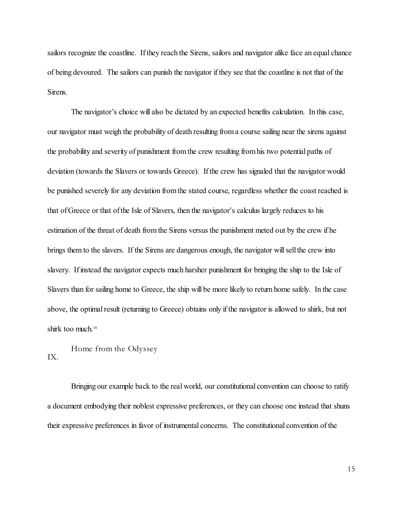sailors recognize the coastline. If they reach the Sirens, sailors and navigator alike face an equal chance of being devoured. The sailors can punish the navigator if they see that the coastline is not that of the Sirens.

The navigator's choice will also be dictated by an expected benefits calculation. In this case, our navigator must weigh the probability of death resulting from a course sailing near the sirens against the probability and severity of punishment from the crew resulting from his two potential paths of deviation (towards the Slavers or towards Greece). If the crew has signaled that the navigator would be punished severely for any deviation from the stated course, regardless whether the coast reached is that of Greece or that of the Isle of Slavers, then the navigator's calculus largely reduces to his estimation of the threat of death from the Sirens versus the punishment meted out by the crew if he brings them to the slavers. If the Sirens are dangerous enough, the navigator will sell the crew into slavery. If instead the navigator expects much harsher punishment for bringing the ship to the Isle of Slavers than for sailing home to Greece, the ship will be more likely to return home safely. In the case above, the optimal result (returning to Greece) obtains only if the navigator is allowed to shirk, but not shirk too much. 16

IX. Home from the Odyssey

Bringing our example back to the real world, our constitutional convention can choose to ratify a document embodying their noblest expressive preferences, or they can choose one instead that shuns their expressive preferences in favor of instrumental concerns. The constitutional convention of the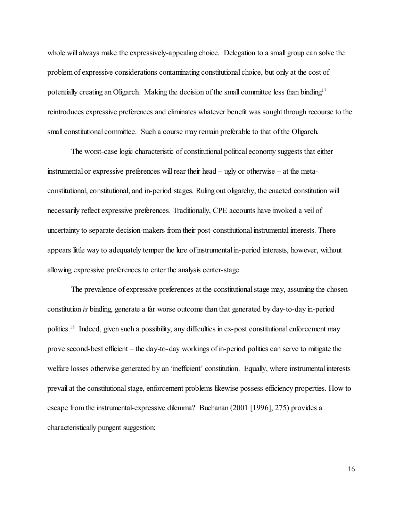whole will always make the expressively-appealing choice. Delegation to a small group can solve the problem of expressive considerations contaminating constitutional choice, but only at the cost of potentially creating an Oligarch. Making the decision of the small committee less than binding<sup>17</sup> reintroduces expressive preferences and eliminates whatever benefit was sought through recourse to the small constitutional committee. Such a course may remain preferable to that of the Oligarch.

The worst-case logic characteristic of constitutional political economy suggests that either instrumental or expressive preferences will rear their head – ugly or otherwise – at the metaconstitutional, constitutional, and in-period stages. Ruling out oligarchy, the enacted constitution will necessarily reflect expressive preferences. Traditionally, CPE accounts have invoked a veil of uncertainty to separate decision-makers from their post-constitutional instrumental interests. There appears little way to adequately temper the lure of instrumental in-period interests, however, without allowing expressive preferences to enter the analysis center-stage.

The prevalence of expressive preferences at the constitutional stage may, assuming the chosen constitution *is* binding, generate a far worse outcome than that generated by day-to-day in-period politics.<sup>18</sup> Indeed, given such a possibility, any difficulties in ex-post constitutional enforcement may prove second-best efficient – the day-to-day workings of in-period politics can serve to mitigate the welfare losses otherwise generated by an 'inefficient' constitution. Equally, where instrumental interests prevail at the constitutional stage, enforcement problems likewise possess efficiency properties. How to escape from the instrumental-expressive dilemma? Buchanan (2001 [1996], 275) provides a characteristically pungent suggestion: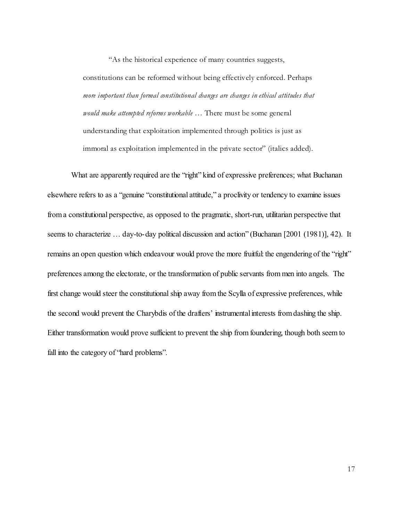"As the historical experience of many countries suggests, constitutions can be reformed without being effectively enforced. Perhaps *more important than formal constitutional changes are changes in ethical attitudes that would make attempted reforms workable* … There must be some general understanding that exploitation implemented through politics is just as immoral as exploitation implemented in the private sector" (italics added).

What are apparently required are the "right" kind of expressive preferences; what Buchanan elsewhere refers to as a "genuine "constitutional attitude," a proclivity or tendency to examine issues from a constitutional perspective, as opposed to the pragmatic, short-run, utilitarian perspective that seems to characterize … day-to-day political discussion and action" (Buchanan [2001 (1981)], 42). It remains an open question which endeavour would prove the more fruitful: the engendering of the "right" preferences among the electorate, or the transformation of public servants from men into angels. The first change would steer the constitutional ship away from the Scylla of expressive preferences, while the second would prevent the Charybdis of the drafters' instrumental interests from dashing the ship. Either transformation would prove sufficient to prevent the ship from foundering, though both seem to fall into the category of "hard problems".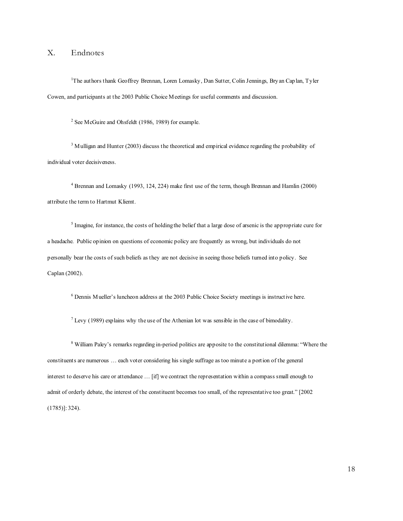## X. Endnotes

<sup>1</sup>The authors thank Geoffrey Brennan, Loren Lomasky, Dan Sutter, Colin Jennings, Bry an Caplan, Tyler Cowen, and participants at the 2003 Public Choice Meetings for useful comments and discussion.

<sup>2</sup> See McGuire and Ohsfeldt (1986, 1989) for example.

<sup>3</sup> Mulligan and Hunter (2003) discuss the theoretical and empirical evidence regarding the probability of individual voter decisiveness.

<sup>4</sup> Brennan and Lomasky (1993, 124, 224) make first use of the term, though Brennan and Hamlin (2000) attribute the term to Hartmut Kliemt.

 $<sup>5</sup>$  Imagine, for instance, the costs of holding the belief that a large dose of arsenic is the appropriate cure for</sup> a headache. Public opinion on questions of economic policy are frequently as wrong, but individuals do not personally bear the costs of such beliefs as they are not decisive in seeing those beliefs turned into policy. See Caplan (2002).

<sup>6</sup> Dennis Mueller's luncheon address at the 2003 Public Choice Society meetings is instructive here.

<sup>7</sup> Levy (1989) explains why the use of the Athenian lot was sensible in the case of bimodality.

<sup>8</sup> William Paley's remarks regarding in-period politics are apposite to the constitutional dilemma: "Where the constituents are numerous … each voter considering his single suffrage as too minute a portion of the general interest to deserve his care or attendance … [if] we contract the representation within a compass small enough to admit of orderly debate, the interest of the constituent becomes too small, of the representative too great." [2002 (1785)]: 324).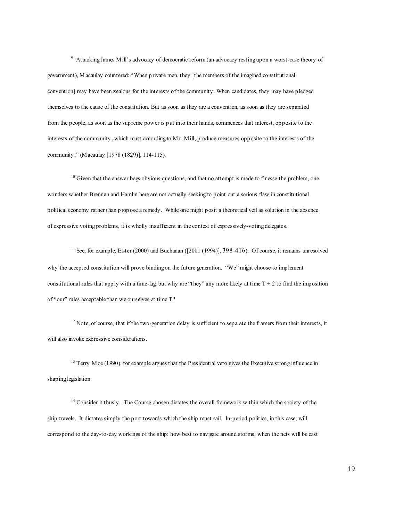9 Attacking James Mill's advocacy of democratic reform (an advocacy resting upon a worst-case theory of government), M acaulay countered: "When private men, they [the members of the imagined constitutional convention] may have been zealous for the interests of the community. When candidates, they may have pledged themselves to the cause of the constitution. But as soon as they are a convention, as soon as they are separated from the people, as soon as the supreme power is put into their hands, commences that interest, opposite to the interests of the community, which must according to M r. Mill, produce measures opposite to the interests of the community ." (Macaulay [1978 (1829)], 114-115).

 $10$  Given that the answer begs obvious questions, and that no attempt is made to finesse the problem, one wonders whether Brennan and Hamlin here are not actually seeking to point out a serious flaw in constitutional political economy rather than p rop ose a remedy. While one might posit a theoretical veil as solution in the absence of expressive voting problems, it is wholly insufficient in the context of expressively-voting delegates.

<sup>11</sup> See, for example, Elster (2000) and Buchanan ( $[2001 (1994)], 398-416)$ . Of course, it remains unresolved why the accepted constitution will prove binding on the future generation. "We" might choose to implement constitutional rules that app ly with a time-lag, but why are "they" any more likely at time  $T + 2$  to find the imposition of "our" rules acceptable than we ourselves at time T?

 $12$  Note, of course, that if the two-generation delay is sufficient to separate the framers from their interests, it will also invoke expressive considerations.

<sup>13</sup> Terry Moe (1990), for example argues that the Presidential veto gives the Executive strong influence in shaping legislation.

<sup>14</sup> Consider it thusly. The Course chosen dictates the overall framework within which the society of the ship travels. It dictates simply the port towards which the ship must sail. In-period politics, in this case, will correspond to the day-to-day workings of the ship: how best to navigate around storms, when the nets will be cast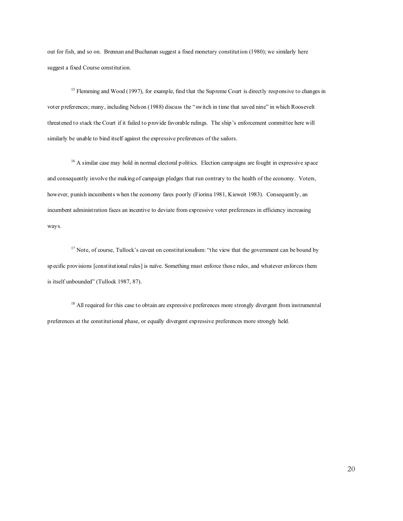out for fish, and so on. Brennan and Buchanan suggest a fixed monetary constitution (1980); we similarly here suggest a fixed Course constitution.

<sup>15</sup> Flemming and Wood (1997), for example, find that the Supreme Court is directly responsive to changes in voter preferences; many, including Nelson (1988) discuss the "switch in time that saved nine" in which Roosevelt threatened to stack the Court if it failed to provide favorable rulings. The ship's enforcement committee here will similarly be unable to bind itself against the expressive preferences of the sailors.

<sup>16</sup> A similar case may hold in normal electoral politics. Election campaigns are fought in expressive space and consequently involve the making of campaign pledges that run contrary to the health of the economy. Voters, however, punish incumbents when the economy fares poorly (Fiorina 1981, Kieweit 1983). Consequently, an incumbent administration faces an incentive to deviate from expressive voter preferences in efficiency increasing ways.

<sup>17</sup> Note, of course, Tullock's caveat on constitutionalism: "the view that the government can be bound by sp ecific provisions [constitutional rules] is naïve. Something must enforce those rules, and whatever enforces them is itself unbounded" (Tullock 1987, 87).

<sup>18</sup> All required for this case to obtain are expressive preferences more strongly divergent from instrumental preferences at the constitutional phase, or equally divergent expressive preferences more strongly held.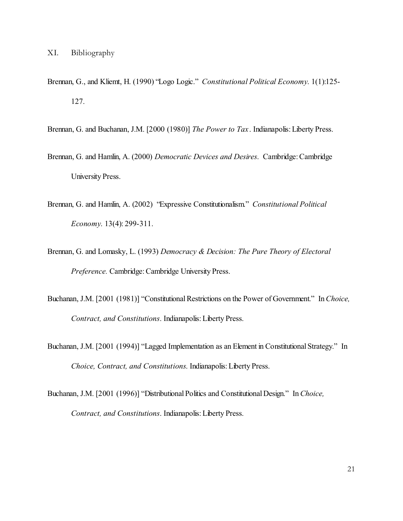- Brennan, G., and Kliemt, H. (1990) "Logo Logic." *Constitutional Political Economy*. 1(1):125- 127.
- Brennan, G. and Buchanan, J.M. [2000 (1980)] *The Power to Tax*. Indianapolis: Liberty Press.
- Brennan, G. and Hamlin, A. (2000) *Democratic Devices and Desires*. Cambridge: Cambridge University Press.
- Brennan, G. and Hamlin, A. (2002) "Expressive Constitutionalism." *Constitutional Political Economy*. 13(4): 299-311.
- Brennan, G. and Lomasky, L. (1993) *Democracy & Decision: The Pure Theory of Electoral Preference.* Cambridge: Cambridge University Press.
- Buchanan, J.M. [2001 (1981)] "Constitutional Restrictions on the Power of Government." In*Choice, Contract, and Constitutions*. Indianapolis: Liberty Press.
- Buchanan, J.M. [2001 (1994)] "Lagged Implementation as an Element in Constitutional Strategy." In *Choice, Contract, and Constitutions*. Indianapolis: Liberty Press.
- Buchanan, J.M. [2001 (1996)] "Distributional Politics and Constitutional Design." In*Choice, Contract, and Constitutions*. Indianapolis: Liberty Press.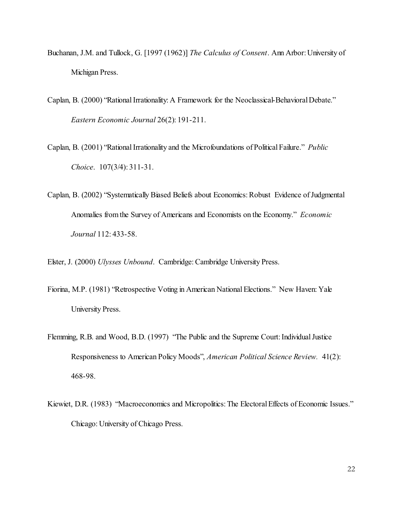- Buchanan, J.M. and Tullock, G. [1997 (1962)] *The Calculus of Consent*. Ann Arbor: University of Michigan Press.
- Caplan, B. (2000) "Rational Irrationality: A Framework for the Neoclassical-Behavioral Debate." *Eastern Economic Journal* 26(2): 191-211.
- Caplan, B. (2001) "Rational Irrationality and the Microfoundations of Political Failure." *Public Choice*. 107(3/4): 311-31.
- Caplan, B. (2002) "Systematically Biased Beliefs about Economics: Robust Evidence of Judgmental Anomalies from the Survey of Americans and Economists on the Economy." *Economic Journal* 112: 433-58.

Elster, J. (2000) *Ulysses Unbound*. Cambridge: Cambridge University Press.

- Fiorina, M.P. (1981) "Retrospective Voting in American National Elections." New Haven: Yale University Press.
- Flemming, R.B. and Wood, B.D. (1997) "The Public and the Supreme Court: Individual Justice Responsiveness to American Policy Moods", *American Political Science Review.* 41(2): 468-98.
- Kiewiet, D.R. (1983) "Macroeconomics and Micropolitics: The Electoral Effects of Economic Issues." Chicago: University of Chicago Press.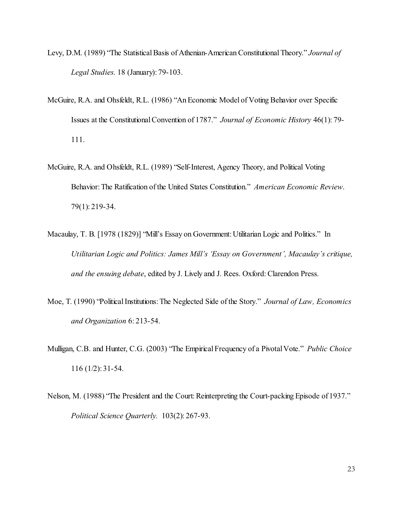- Levy, D.M. (1989) "The Statistical Basis of Athenian-American Constitutional Theory." *Journal of Legal Studies*. 18 (January): 79-103.
- McGuire, R.A. and Ohsfeldt, R.L. (1986) "An Economic Model of Voting Behavior over Specific Issues at the Constitutional Convention of 1787." *Journal of Economic History* 46(1): 79- 111.
- McGuire, R.A. and Ohsfeldt, R.L. (1989) "Self-Interest, Agency Theory, and Political Voting Behavior: The Ratification of the United States Constitution." *American Economic Review*. 79(1): 219-34.
- Macaulay, T. B. [1978 (1829)] "Mill's Essay on Government: Utilitarian Logic and Politics." In *Utilitarian Logic and Politics: James Mill's 'Essay on Government', Macaulay's critique, and the ensuing debate*, edited by J. Lively and J. Rees. Oxford: Clarendon Press.
- Moe, T. (1990) "Political Institutions: The Neglected Side of the Story." *Journal of Law, Economics and Organization* 6: 213-54.
- Mulligan, C.B. and Hunter, C.G. (2003) "The Empirical Frequency of a Pivotal Vote." *Public Choice* 116 (1/2): 31-54.
- Nelson, M. (1988) "The President and the Court: Reinterpreting the Court-packing Episode of 1937." *Political Science Quarterly.* 103(2): 267-93.